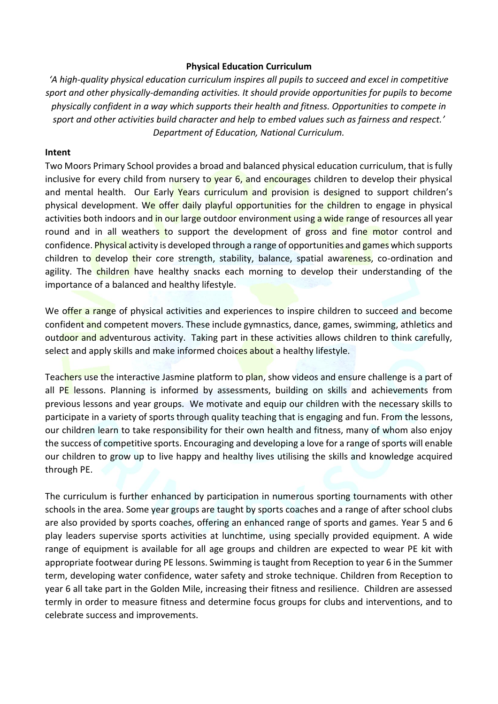## **Physical Education Curriculum**

*'A high-quality physical education curriculum inspires all pupils to succeed and excel in competitive sport and other physically-demanding activities. It should provide opportunities for pupils to become physically confident in a way which supports their health and fitness. Opportunities to compete in sport and other activities build character and help to embed values such as fairness and respect.' Department of Education, National Curriculum.*

## **Intent**

Two Moors Primary School provides a broad and balanced physical education curriculum, that is fully inclusive for every child from nursery to year  $6$ , and encourages children to develop their physical and mental health. Our Early Years curriculum and provision is designed to support children's physical development. We offer daily playful opportunities for the children to engage in physical activities both indoors and in our large outdoor environment using a wide range of resources all year round and in all weathers to support the development of gross and fine motor control and confidence. Physical activity is developed through a range of opportunities and games which supports children to develop their core strength, stability, balance, spatial awareness, co-ordination and agility. The children have healthy snacks each morning to develop their understanding of the importance of a balanced and healthy lifestyle.

We offer a range of physical activities and experiences to inspire children to succeed and become confident and competent movers. These include gymnastics, dance, games, swimming, athletics and outdoor and adventurous activity. Taking part in these activities allows children to think carefully, select and apply skills and make informed choices about a healthy lifestyle.

Teachers use the interactive Jasmine platform to plan, show videos and ensure challenge is a part of all PE lessons. Planning is informed by assessments, building on skills and achievements from previous lessons and year groups. We motivate and equip our children with the necessary skills to participate in a variety of sports through quality teaching that is engaging and fun. From the lessons, our children learn to take responsibility for their own health and fitness, many of whom also enjoy the success of competitive sports. Encouraging and developing a love for a range of sports will enable our children to grow up to live happy and healthy lives utilising the skills and knowledge acquired through PE.

The curriculum is further enhanced by participation in numerous sporting tournaments with other schools in the area. Some year groups are taught by sports coaches and a range of after school clubs are also provided by sports coaches, offering an enhanced range of sports and games. Year 5 and 6 play leaders supervise sports activities at lunchtime, using specially provided equipment. A wide range of equipment is available for all age groups and children are expected to wear PE kit with appropriate footwear during PE lessons. Swimming is taught from Reception to year 6 in the Summer term, developing water confidence, water safety and stroke technique. Children from Reception to year 6 all take part in the Golden Mile, increasing their fitness and resilience. Children are assessed termly in order to measure fitness and determine focus groups for clubs and interventions, and to celebrate success and improvements.